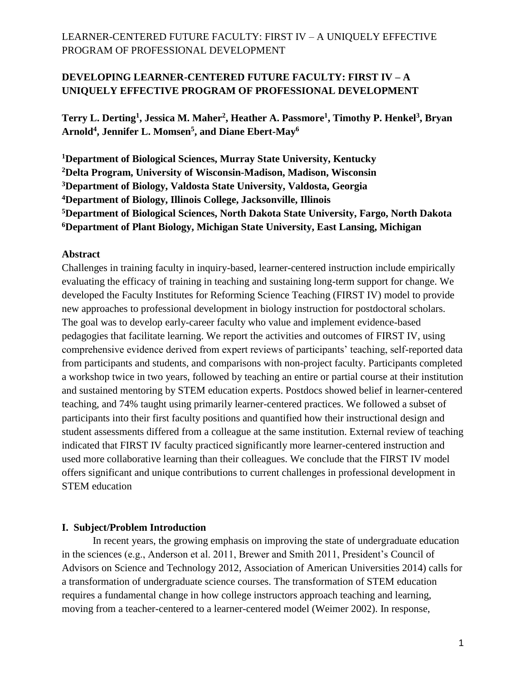**Terry L. Derting<sup>1</sup> , Jessica M. Maher<sup>2</sup> , Heather A. Passmore<sup>1</sup> , Timothy P. Henkel<sup>3</sup> , Bryan Arnold<sup>4</sup> , Jennifer L. Momsen<sup>5</sup> , and Diane Ebert-May<sup>6</sup>**

**Department of Biological Sciences, Murray State University, Kentucky Delta Program, University of Wisconsin-Madison, Madison, Wisconsin Department of Biology, Valdosta State University, Valdosta, Georgia Department of Biology, Illinois College, Jacksonville, Illinois Department of Biological Sciences, North Dakota State University, Fargo, North Dakota Department of Plant Biology, Michigan State University, East Lansing, Michigan**

### **Abstract**

Challenges in training faculty in inquiry-based, learner-centered instruction include empirically evaluating the efficacy of training in teaching and sustaining long-term support for change. We developed the Faculty Institutes for Reforming Science Teaching (FIRST IV) model to provide new approaches to professional development in biology instruction for postdoctoral scholars. The goal was to develop early-career faculty who value and implement evidence-based pedagogies that facilitate learning. We report the activities and outcomes of FIRST IV, using comprehensive evidence derived from expert reviews of participants' teaching, self-reported data from participants and students, and comparisons with non-project faculty. Participants completed a workshop twice in two years, followed by teaching an entire or partial course at their institution and sustained mentoring by STEM education experts. Postdocs showed belief in learner-centered teaching, and 74% taught using primarily learner-centered practices. We followed a subset of participants into their first faculty positions and quantified how their instructional design and student assessments differed from a colleague at the same institution. External review of teaching indicated that FIRST IV faculty practiced significantly more learner-centered instruction and used more collaborative learning than their colleagues. We conclude that the FIRST IV model offers significant and unique contributions to current challenges in professional development in STEM education

### **I. Subject/Problem Introduction**

In recent years, the growing emphasis on improving the state of undergraduate education in the sciences (e.g., Anderson et al. 2011, Brewer and Smith 2011, President's Council of Advisors on Science and Technology 2012, Association of American Universities 2014) calls for a transformation of undergraduate science courses. The transformation of STEM education requires a fundamental change in how college instructors approach teaching and learning, moving from a teacher-centered to a learner-centered model (Weimer 2002). In response,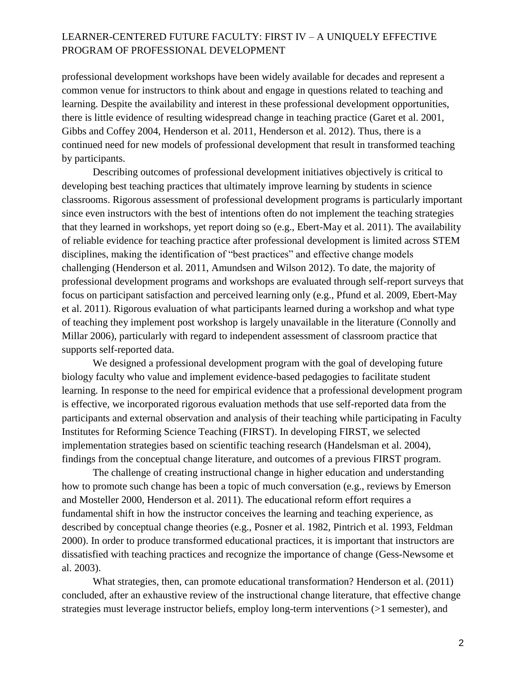professional development workshops have been widely available for decades and represent a common venue for instructors to think about and engage in questions related to teaching and learning. Despite the availability and interest in these professional development opportunities, there is little evidence of resulting widespread change in teaching practice (Garet et al. 2001, Gibbs and Coffey 2004, Henderson et al. 2011, Henderson et al. 2012). Thus, there is a continued need for new models of professional development that result in transformed teaching by participants.

Describing outcomes of professional development initiatives objectively is critical to developing best teaching practices that ultimately improve learning by students in science classrooms. Rigorous assessment of professional development programs is particularly important since even instructors with the best of intentions often do not implement the teaching strategies that they learned in workshops, yet report doing so (e.g., Ebert-May et al. 2011). The availability of reliable evidence for teaching practice after professional development is limited across STEM disciplines, making the identification of "best practices" and effective change models challenging (Henderson et al. 2011, Amundsen and Wilson 2012). To date, the majority of professional development programs and workshops are evaluated through self-report surveys that focus on participant satisfaction and perceived learning only (e.g., Pfund et al. 2009, Ebert-May et al. 2011). Rigorous evaluation of what participants learned during a workshop and what type of teaching they implement post workshop is largely unavailable in the literature (Connolly and Millar 2006), particularly with regard to independent assessment of classroom practice that supports self-reported data.

We designed a professional development program with the goal of developing future biology faculty who value and implement evidence-based pedagogies to facilitate student learning. In response to the need for empirical evidence that a professional development program is effective, we incorporated rigorous evaluation methods that use self-reported data from the participants and external observation and analysis of their teaching while participating in Faculty Institutes for Reforming Science Teaching (FIRST). In developing FIRST, we selected implementation strategies based on scientific teaching research (Handelsman et al. 2004), findings from the conceptual change literature, and outcomes of a previous FIRST program.

The challenge of creating instructional change in higher education and understanding how to promote such change has been a topic of much conversation (e.g., reviews by Emerson and Mosteller 2000, Henderson et al. 2011). The educational reform effort requires a fundamental shift in how the instructor conceives the learning and teaching experience, as described by conceptual change theories (e.g., Posner et al. 1982, Pintrich et al. 1993, Feldman 2000). In order to produce transformed educational practices, it is important that instructors are dissatisfied with teaching practices and recognize the importance of change (Gess-Newsome et al. 2003).

What strategies, then, can promote educational transformation? Henderson et al. (2011) concluded, after an exhaustive review of the instructional change literature, that effective change strategies must leverage instructor beliefs, employ long-term interventions (>1 semester), and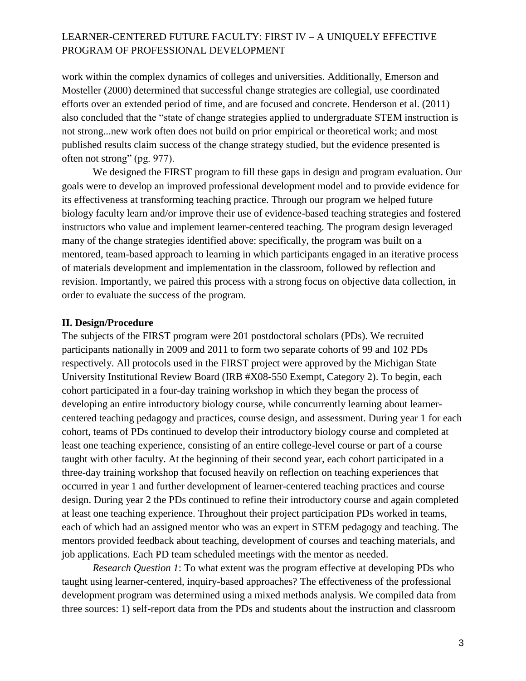work within the complex dynamics of colleges and universities. Additionally, Emerson and Mosteller (2000) determined that successful change strategies are collegial, use coordinated efforts over an extended period of time, and are focused and concrete. Henderson et al. (2011) also concluded that the "state of change strategies applied to undergraduate STEM instruction is not strong...new work often does not build on prior empirical or theoretical work; and most published results claim success of the change strategy studied, but the evidence presented is often not strong" (pg. 977).

We designed the FIRST program to fill these gaps in design and program evaluation. Our goals were to develop an improved professional development model and to provide evidence for its effectiveness at transforming teaching practice. Through our program we helped future biology faculty learn and/or improve their use of evidence-based teaching strategies and fostered instructors who value and implement learner-centered teaching. The program design leveraged many of the change strategies identified above: specifically, the program was built on a mentored, team-based approach to learning in which participants engaged in an iterative process of materials development and implementation in the classroom, followed by reflection and revision. Importantly, we paired this process with a strong focus on objective data collection, in order to evaluate the success of the program.

#### **II. Design/Procedure**

The subjects of the FIRST program were 201 postdoctoral scholars (PDs). We recruited participants nationally in 2009 and 2011 to form two separate cohorts of 99 and 102 PDs respectively. All protocols used in the FIRST project were approved by the Michigan State University Institutional Review Board (IRB #X08-550 Exempt, Category 2). To begin, each cohort participated in a four-day training workshop in which they began the process of developing an entire introductory biology course, while concurrently learning about learnercentered teaching pedagogy and practices, course design, and assessment. During year 1 for each cohort, teams of PDs continued to develop their introductory biology course and completed at least one teaching experience, consisting of an entire college-level course or part of a course taught with other faculty. At the beginning of their second year, each cohort participated in a three-day training workshop that focused heavily on reflection on teaching experiences that occurred in year 1 and further development of learner-centered teaching practices and course design. During year 2 the PDs continued to refine their introductory course and again completed at least one teaching experience. Throughout their project participation PDs worked in teams, each of which had an assigned mentor who was an expert in STEM pedagogy and teaching. The mentors provided feedback about teaching, development of courses and teaching materials, and job applications. Each PD team scheduled meetings with the mentor as needed.

*Research Question 1*: To what extent was the program effective at developing PDs who taught using learner-centered, inquiry-based approaches? The effectiveness of the professional development program was determined using a mixed methods analysis. We compiled data from three sources: 1) self-report data from the PDs and students about the instruction and classroom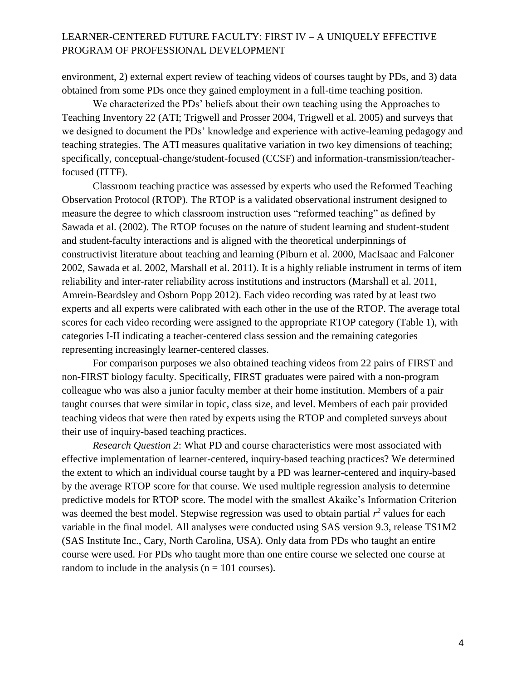environment, 2) external expert review of teaching videos of courses taught by PDs, and 3) data obtained from some PDs once they gained employment in a full-time teaching position.

We characterized the PDs' beliefs about their own teaching using the Approaches to Teaching Inventory 22 (ATI; Trigwell and Prosser 2004, Trigwell et al. 2005) and surveys that we designed to document the PDs' knowledge and experience with active-learning pedagogy and teaching strategies. The ATI measures qualitative variation in two key dimensions of teaching; specifically, conceptual-change/student-focused (CCSF) and information-transmission/teacherfocused (ITTF).

Classroom teaching practice was assessed by experts who used the Reformed Teaching Observation Protocol (RTOP). The RTOP is a validated observational instrument designed to measure the degree to which classroom instruction uses "reformed teaching" as defined by Sawada et al. (2002). The RTOP focuses on the nature of student learning and student-student and student-faculty interactions and is aligned with the theoretical underpinnings of constructivist literature about teaching and learning (Piburn et al. 2000, MacIsaac and Falconer 2002, Sawada et al. 2002, Marshall et al. 2011). It is a highly reliable instrument in terms of item reliability and inter-rater reliability across institutions and instructors (Marshall et al. 2011, Amrein-Beardsley and Osborn Popp 2012). Each video recording was rated by at least two experts and all experts were calibrated with each other in the use of the RTOP. The average total scores for each video recording were assigned to the appropriate RTOP category (Table 1), with categories I-II indicating a teacher-centered class session and the remaining categories representing increasingly learner-centered classes.

For comparison purposes we also obtained teaching videos from 22 pairs of FIRST and non-FIRST biology faculty. Specifically, FIRST graduates were paired with a non-program colleague who was also a junior faculty member at their home institution. Members of a pair taught courses that were similar in topic, class size, and level. Members of each pair provided teaching videos that were then rated by experts using the RTOP and completed surveys about their use of inquiry-based teaching practices.

*Research Question 2*: What PD and course characteristics were most associated with effective implementation of learner-centered, inquiry-based teaching practices? We determined the extent to which an individual course taught by a PD was learner-centered and inquiry-based by the average RTOP score for that course. We used multiple regression analysis to determine predictive models for RTOP score. The model with the smallest Akaike's Information Criterion was deemed the best model. Stepwise regression was used to obtain partial  $r^2$  values for each variable in the final model. All analyses were conducted using SAS version 9.3, release TS1M2 (SAS Institute Inc., Cary, North Carolina, USA). Only data from PDs who taught an entire course were used. For PDs who taught more than one entire course we selected one course at random to include in the analysis ( $n = 101$  courses).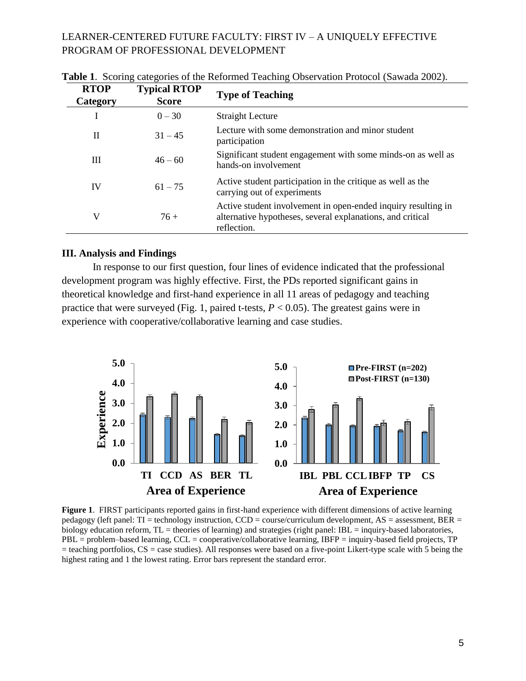| <b>RTOP</b><br>Category | <b>Typical RTOP</b><br><b>Score</b> | <b>Type of Teaching</b>                                                                                                                    |
|-------------------------|-------------------------------------|--------------------------------------------------------------------------------------------------------------------------------------------|
|                         | $0 - 30$                            | <b>Straight Lecture</b>                                                                                                                    |
| H                       | $31 - 45$                           | Lecture with some demonstration and minor student<br>participation                                                                         |
| Ш                       | $46 - 60$                           | Significant student engagement with some minds-on as well as<br>hands-on involvement                                                       |
| IV                      | $61 - 75$                           | Active student participation in the critique as well as the<br>carrying out of experiments                                                 |
| V                       | $76+$                               | Active student involvement in open-ended inquiry resulting in<br>alternative hypotheses, several explanations, and critical<br>reflection. |

**Table 1**. Scoring categories of the Reformed Teaching Observation Protocol (Sawada 2002).

#### **III. Analysis and Findings**

In response to our first question, four lines of evidence indicated that the professional development program was highly effective. First, the PDs reported significant gains in theoretical knowledge and first-hand experience in all 11 areas of pedagogy and teaching practice that were surveyed (Fig. 1, paired t-tests,  $P < 0.05$ ). The greatest gains were in experience with cooperative/collaborative learning and case studies.



**Figure 1**. FIRST participants reported gains in first-hand experience with different dimensions of active learning pedagogy (left panel: TI = technology instruction, CCD = course/curriculum development, AS = assessment, BER = biology education reform, TL = theories of learning) and strategies (right panel: IBL = inquiry-based laboratories, PBL = problem–based learning, CCL = cooperative/collaborative learning, IBFP = inquiry-based field projects, TP  $=$  teaching portfolios,  $CS =$  case studies). All responses were based on a five-point Likert-type scale with 5 being the highest rating and 1 the lowest rating. Error bars represent the standard error.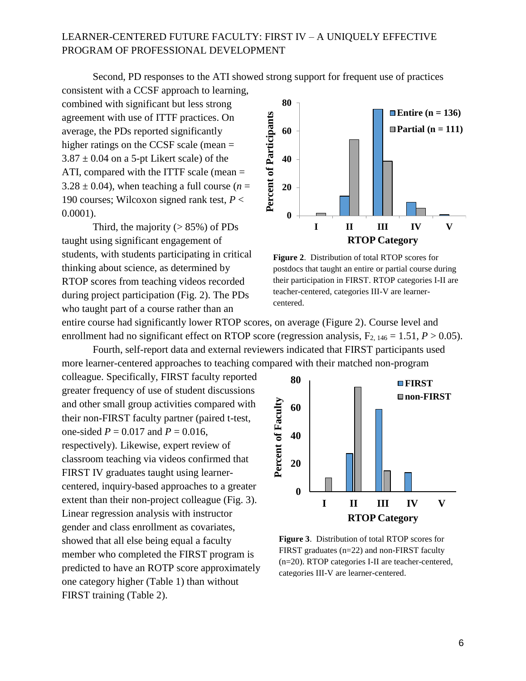Second, PD responses to the ATI showed strong support for frequent use of practices

consistent with a CCSF approach to learning, combined with significant but less strong agreement with use of ITTF practices. On average, the PDs reported significantly higher ratings on the CCSF scale (mean =  $3.87 \pm 0.04$  on a 5-pt Likert scale) of the ATI, compared with the ITTF scale (mean =  $3.28 \pm 0.04$ ), when teaching a full course ( $n =$ 190 courses; Wilcoxon signed rank test, *P* < 0.0001).

Third, the majority  $(> 85\%)$  of PDs taught using significant engagement of students, with students participating in critical thinking about science, as determined by RTOP scores from teaching videos recorded during project participation (Fig. 2). The PDs who taught part of a course rather than an



**Figure 2**. Distribution of total RTOP scores for postdocs that taught an entire or partial course during their participation in FIRST. RTOP categories I-II are teacher-centered, categories III-V are learnercentered.

entire course had significantly lower RTOP scores, on average (Figure 2). Course level and enrollment had no significant effect on RTOP score (regression analysis,  $F_{2, 146} = 1.51$ ,  $P > 0.05$ ).

Fourth, self-report data and external reviewers indicated that FIRST participants used more learner-centered approaches to teaching compared with their matched non-program

colleague. Specifically, FIRST faculty reported greater frequency of use of student discussions and other small group activities compared with their non-FIRST faculty partner (paired t-test, one-sided  $P = 0.017$  and  $P = 0.016$ , respectively). Likewise, expert review of classroom teaching via videos confirmed that FIRST IV graduates taught using learnercentered, inquiry-based approaches to a greater extent than their non-project colleague (Fig. 3). Linear regression analysis with instructor gender and class enrollment as covariates, showed that all else being equal a faculty member who completed the FIRST program is predicted to have an ROTP score approximately one category higher (Table 1) than without FIRST training (Table 2).



**Figure 3**. Distribution of total RTOP scores for FIRST graduates (n=22) and non-FIRST faculty (n=20). RTOP categories I-II are teacher-centered, categories III-V are learner-centered.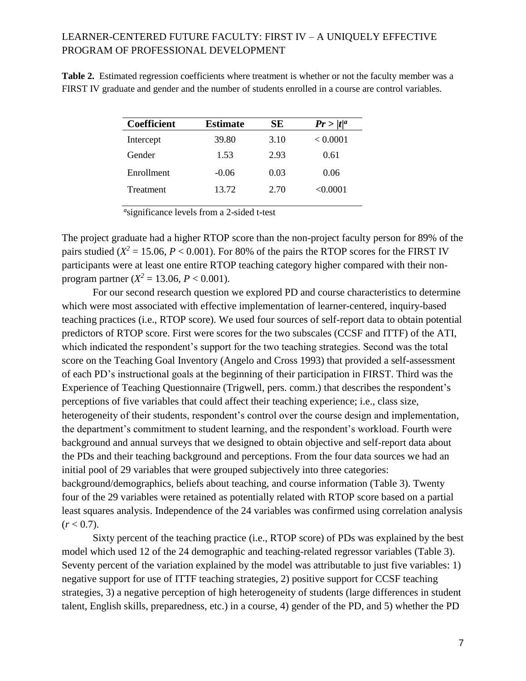**Table 2.** Estimated regression coefficients where treatment is whether or not the faculty member was a FIRST IV graduate and gender and the number of students enrolled in a course are control variables.

| <b>Coefficient</b> | <b>Estimate</b> | SЕ   | $Pr >  t ^a$ |
|--------------------|-----------------|------|--------------|
| Intercept          | 39.80           | 3.10 | < 0.0001     |
| Gender             | 1.53            | 2.93 | 0.61         |
| Enrollment         | $-0.06$         | 0.03 | 0.06         |
| Treatment          | 13.72           | 2.70 | < 0.0001     |

<sup>a</sup>significance levels from a 2-sided t-test

The project graduate had a higher RTOP score than the non-project faculty person for 89% of the pairs studied  $(X^2 = 15.06, P < 0.001)$ . For 80% of the pairs the RTOP scores for the FIRST IV participants were at least one entire RTOP teaching category higher compared with their nonprogram partner  $(X^2 = 13.06, P < 0.001)$ .

For our second research question we explored PD and course characteristics to determine which were most associated with effective implementation of learner-centered, inquiry-based teaching practices (i.e., RTOP score). We used four sources of self-report data to obtain potential predictors of RTOP score. First were scores for the two subscales (CCSF and ITTF) of the ATI, which indicated the respondent's support for the two teaching strategies. Second was the total score on the Teaching Goal Inventory (Angelo and Cross 1993) that provided a self-assessment of each PD's instructional goals at the beginning of their participation in FIRST. Third was the Experience of Teaching Questionnaire (Trigwell, pers. comm.) that describes the respondent's perceptions of five variables that could affect their teaching experience; i.e., class size, heterogeneity of their students, respondent's control over the course design and implementation, the department's commitment to student learning, and the respondent's workload. Fourth were background and annual surveys that we designed to obtain objective and self-report data about the PDs and their teaching background and perceptions. From the four data sources we had an initial pool of 29 variables that were grouped subjectively into three categories: background/demographics, beliefs about teaching, and course information (Table 3). Twenty four of the 29 variables were retained as potentially related with RTOP score based on a partial least squares analysis. Independence of the 24 variables was confirmed using correlation analysis  $(r < 0.7)$ .

Sixty percent of the teaching practice (i.e., RTOP score) of PDs was explained by the best model which used 12 of the 24 demographic and teaching-related regressor variables (Table 3). Seventy percent of the variation explained by the model was attributable to just five variables: 1) negative support for use of ITTF teaching strategies, 2) positive support for CCSF teaching strategies, 3) a negative perception of high heterogeneity of students (large differences in student talent, English skills, preparedness, etc.) in a course, 4) gender of the PD, and 5) whether the PD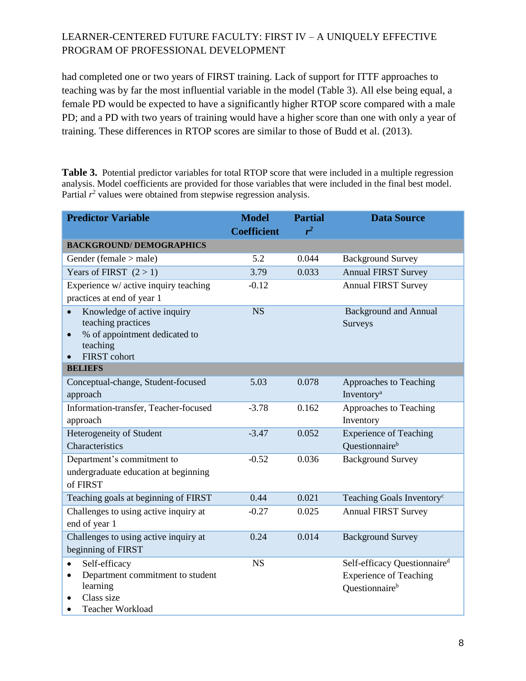had completed one or two years of FIRST training. Lack of support for ITTF approaches to teaching was by far the most influential variable in the model (Table 3). All else being equal, a female PD would be expected to have a significantly higher RTOP score compared with a male PD; and a PD with two years of training would have a higher score than one with only a year of training. These differences in RTOP scores are similar to those of Budd et al. (2013).

**Table 3.** Potential predictor variables for total RTOP score that were included in a multiple regression analysis. Model coefficients are provided for those variables that were included in the final best model. Partial  $r<sup>2</sup>$  values were obtained from stepwise regression analysis.

| <b>Predictor Variable</b>                                                                                                                       | <b>Model</b><br><b>Coefficient</b> | <b>Partial</b><br>$r^2$ | <b>Data Source</b>                                                                                      |  |  |  |
|-------------------------------------------------------------------------------------------------------------------------------------------------|------------------------------------|-------------------------|---------------------------------------------------------------------------------------------------------|--|--|--|
| <b>BACKGROUND/DEMOGRAPHICS</b>                                                                                                                  |                                    |                         |                                                                                                         |  |  |  |
| Gender (female $>$ male)                                                                                                                        | 5.2                                | 0.044                   | <b>Background Survey</b>                                                                                |  |  |  |
| Years of FIRST $(2 > 1)$                                                                                                                        | 3.79                               | 0.033                   | <b>Annual FIRST Survey</b>                                                                              |  |  |  |
| Experience w/ active inquiry teaching<br>practices at end of year 1                                                                             | $-0.12$                            |                         | <b>Annual FIRST Survey</b>                                                                              |  |  |  |
| Knowledge of active inquiry<br>$\bullet$<br>teaching practices<br>% of appointment dedicated to<br>$\bullet$<br>teaching<br><b>FIRST</b> cohort | <b>NS</b>                          |                         | <b>Background and Annual</b><br>Surveys                                                                 |  |  |  |
| <b>BELIEFS</b>                                                                                                                                  |                                    |                         |                                                                                                         |  |  |  |
| Conceptual-change, Student-focused<br>approach                                                                                                  | 5.03                               | 0.078                   | Approaches to Teaching<br>Inventory <sup>a</sup>                                                        |  |  |  |
| Information-transfer, Teacher-focused<br>approach                                                                                               | $-3.78$                            | 0.162                   | Approaches to Teaching<br>Inventory                                                                     |  |  |  |
| Heterogeneity of Student<br>Characteristics                                                                                                     | $-3.47$                            | 0.052                   | <b>Experience of Teaching</b><br>Questionnaire <sup>b</sup>                                             |  |  |  |
| Department's commitment to<br>undergraduate education at beginning<br>of FIRST                                                                  | $-0.52$                            | 0.036                   | <b>Background Survey</b>                                                                                |  |  |  |
| Teaching goals at beginning of FIRST                                                                                                            | 0.44                               | 0.021                   | Teaching Goals Inventory <sup>c</sup>                                                                   |  |  |  |
| Challenges to using active inquiry at<br>end of year 1                                                                                          | $-0.27$                            | 0.025                   | <b>Annual FIRST Survey</b>                                                                              |  |  |  |
| Challenges to using active inquiry at<br>beginning of FIRST                                                                                     | 0.24                               | 0.014                   | <b>Background Survey</b>                                                                                |  |  |  |
| Self-efficacy<br>Department commitment to student<br>$\bullet$<br>learning<br>Class size<br><b>Teacher Workload</b><br>$\bullet$                | <b>NS</b>                          |                         | Self-efficacy Questionnaire <sup>d</sup><br><b>Experience of Teaching</b><br>Questionnaire <sup>b</sup> |  |  |  |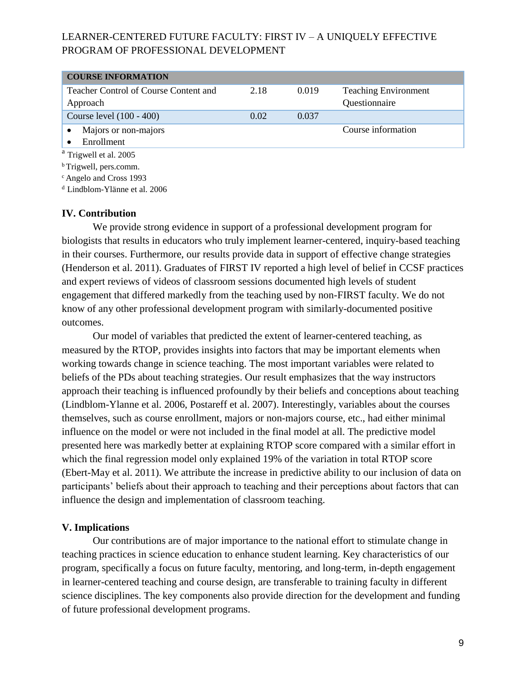| <b>COURSE INFORMATION</b>             |      |       |                             |  |  |  |  |
|---------------------------------------|------|-------|-----------------------------|--|--|--|--|
| Teacher Control of Course Content and | 2.18 | 0.019 | <b>Teaching Environment</b> |  |  |  |  |
| Approach                              |      |       | Questionnaire               |  |  |  |  |
| Course level (100 - 400)              | 0.02 | 0.037 |                             |  |  |  |  |
| Majors or non-majors                  |      |       | Course information          |  |  |  |  |
| Enrollment                            |      |       |                             |  |  |  |  |
| <sup>a</sup> Trigwell et al. 2005     |      |       |                             |  |  |  |  |

<sup>b</sup>Trigwell, pers.comm.

<sup>c</sup> Angelo and Cross 1993

<sup>d</sup> Lindblom-Ylänne et al. 2006

### **IV. Contribution**

We provide strong evidence in support of a professional development program for biologists that results in educators who truly implement learner-centered, inquiry-based teaching in their courses. Furthermore, our results provide data in support of effective change strategies (Henderson et al. 2011). Graduates of FIRST IV reported a high level of belief in CCSF practices and expert reviews of videos of classroom sessions documented high levels of student engagement that differed markedly from the teaching used by non-FIRST faculty. We do not know of any other professional development program with similarly-documented positive outcomes.

Our model of variables that predicted the extent of learner-centered teaching, as measured by the RTOP, provides insights into factors that may be important elements when working towards change in science teaching. The most important variables were related to beliefs of the PDs about teaching strategies. Our result emphasizes that the way instructors approach their teaching is influenced profoundly by their beliefs and conceptions about teaching (Lindblom-Ylanne et al. 2006, Postareff et al. 2007). Interestingly, variables about the courses themselves, such as course enrollment, majors or non-majors course, etc., had either minimal influence on the model or were not included in the final model at all. The predictive model presented here was markedly better at explaining RTOP score compared with a similar effort in which the final regression model only explained 19% of the variation in total RTOP score (Ebert-May et al. 2011). We attribute the increase in predictive ability to our inclusion of data on participants' beliefs about their approach to teaching and their perceptions about factors that can influence the design and implementation of classroom teaching.

#### **V. Implications**

Our contributions are of major importance to the national effort to stimulate change in teaching practices in science education to enhance student learning. Key characteristics of our program, specifically a focus on future faculty, mentoring, and long-term, in-depth engagement in learner-centered teaching and course design, are transferable to training faculty in different science disciplines. The key components also provide direction for the development and funding of future professional development programs.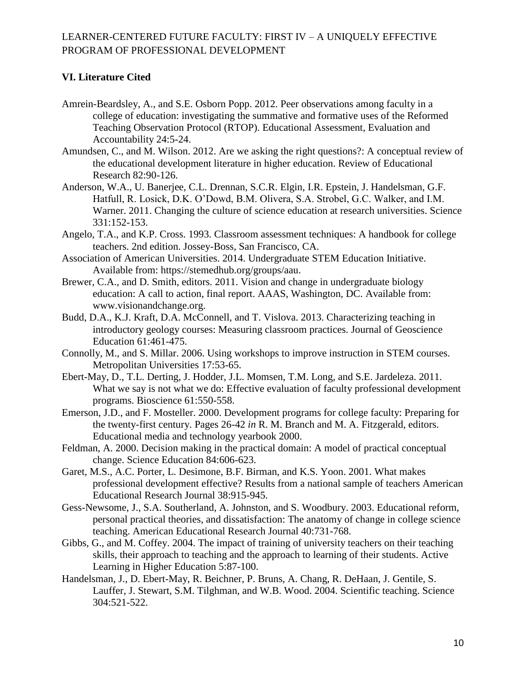## **VI. Literature Cited**

- Amrein-Beardsley, A., and S.E. Osborn Popp. 2012. Peer observations among faculty in a college of education: investigating the summative and formative uses of the Reformed Teaching Observation Protocol (RTOP). Educational Assessment, Evaluation and Accountability 24:5-24.
- Amundsen, C., and M. Wilson. 2012. Are we asking the right questions?: A conceptual review of the educational development literature in higher education. Review of Educational Research 82:90-126.
- Anderson, W.A., U. Banerjee, C.L. Drennan, S.C.R. Elgin, I.R. Epstein, J. Handelsman, G.F. Hatfull, R. Losick, D.K. O'Dowd, B.M. Olivera, S.A. Strobel, G.C. Walker, and I.M. Warner. 2011. Changing the culture of science education at research universities. Science 331:152-153.
- Angelo, T.A., and K.P. Cross. 1993. Classroom assessment techniques: A handbook for college teachers. 2nd edition. Jossey-Boss, San Francisco, CA.
- Association of American Universities. 2014. Undergraduate STEM Education Initiative. Available from: https://stemedhub.org/groups/aau.
- Brewer, C.A., and D. Smith, editors. 2011. Vision and change in undergraduate biology education: A call to action, final report. AAAS, Washington, DC. Available from: www.visionandchange.org.
- Budd, D.A., K.J. Kraft, D.A. McConnell, and T. Vislova. 2013. Characterizing teaching in introductory geology courses: Measuring classroom practices. Journal of Geoscience Education 61:461-475.
- Connolly, M., and S. Millar. 2006. Using workshops to improve instruction in STEM courses. Metropolitan Universities 17:53-65.
- Ebert-May, D., T.L. Derting, J. Hodder, J.L. Momsen, T.M. Long, and S.E. Jardeleza. 2011. What we say is not what we do: Effective evaluation of faculty professional development programs. Bioscience 61:550-558.
- Emerson, J.D., and F. Mosteller. 2000. Development programs for college faculty: Preparing for the twenty-first century. Pages 26-42 *in* R. M. Branch and M. A. Fitzgerald, editors. Educational media and technology yearbook 2000.
- Feldman, A. 2000. Decision making in the practical domain: A model of practical conceptual change. Science Education 84:606-623.
- Garet, M.S., A.C. Porter, L. Desimone, B.F. Birman, and K.S. Yoon. 2001. What makes professional development effective? Results from a national sample of teachers American Educational Research Journal 38:915-945.
- Gess-Newsome, J., S.A. Southerland, A. Johnston, and S. Woodbury. 2003. Educational reform, personal practical theories, and dissatisfaction: The anatomy of change in college science teaching. American Educational Research Journal 40:731-768.
- Gibbs, G., and M. Coffey. 2004. The impact of training of university teachers on their teaching skills, their approach to teaching and the approach to learning of their students. Active Learning in Higher Education 5:87-100.
- Handelsman, J., D. Ebert-May, R. Beichner, P. Bruns, A. Chang, R. DeHaan, J. Gentile, S. Lauffer, J. Stewart, S.M. Tilghman, and W.B. Wood. 2004. Scientific teaching. Science 304:521-522.